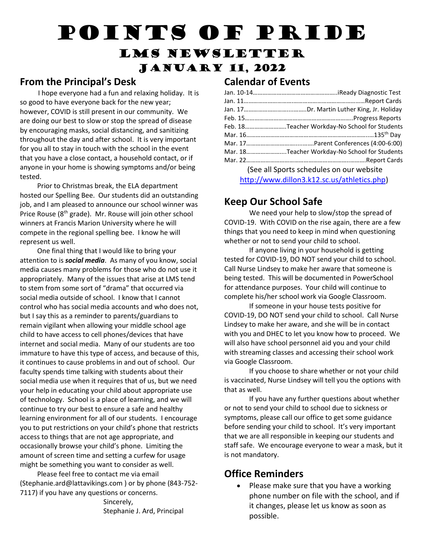# Points of Pride

# LMS Newsletter January 11, 2022

#### **From the Principal's Desk**

 I hope everyone had a fun and relaxing holiday. It is so good to have everyone back for the new year; however, COVID is still present in our community. We are doing our best to slow or stop the spread of disease by encouraging masks, social distancing, and sanitizing throughout the day and after school. It is very important for you all to stay in touch with the school in the event that you have a close contact, a household contact, or if anyone in your home is showing symptoms and/or being tested.

 Prior to Christmas break, the ELA department hosted our Spelling Bee. Our students did an outstanding job, and I am pleased to announce our school winner was Price Rouse (8th grade). Mr. Rouse will join other school winners at Francis Marion University where he will compete in the regional spelling bee. I know he will represent us well.

 One final thing that I would like to bring your attention to is *social media*. As many of you know, social media causes many problems for those who do not use it appropriately. Many of the issues that arise at LMS tend to stem from some sort of "drama" that occurred via social media outside of school. I know that I cannot control who has social media accounts and who does not, but I say this as a reminder to parents/guardians to remain vigilant when allowing your middle school age child to have access to cell phones/devices that have internet and social media. Many of our students are too immature to have this type of access, and because of this, it continues to cause problems in and out of school. Our faculty spends time talking with students about their social media use when it requires that of us, but we need your help in educating your child about appropriate use of technology. School is a place of learning, and we will continue to try our best to ensure a safe and healthy learning environment for all of our students. I encourage you to put restrictions on your child's phone that restricts access to things that are not age appropriate, and occasionally browse your child's phone. Limiting the amount of screen time and setting a curfew for usage might be something you want to consider as well.

 Please feel free to contact me via email (Stephanie.ard@lattavikings.com ) or by phone (843-752- 7117) if you have any questions or concerns.

 Sincerely, Stephanie J. Ard, Principal

#### **Calendar of Events**

| Feb. 18Teacher Workday-No School for Students |
|-----------------------------------------------|
|                                               |
|                                               |
| Mar. 18Teacher Workday-No School for Students |
|                                               |
| (See all Sports schedules on our website      |
| http://www.dillon3.k12.sc.us/athletics.php)   |

#### **Keep Our School Safe**

We need your help to slow/stop the spread of COVID-19. With COVID on the rise again, there are a few things that you need to keep in mind when questioning whether or not to send your child to school.

If anyone living in your household is getting tested for COVID-19, DO NOT send your child to school. Call Nurse Lindsey to make her aware that someone is being tested. This will be documented in PowerSchool for attendance purposes. Your child will continue to complete his/her school work via Google Classroom.

If someone in your house tests positive for COVID-19, DO NOT send your child to school. Call Nurse Lindsey to make her aware, and she will be in contact with you and DHEC to let you know how to proceed. We will also have school personnel aid you and your child with streaming classes and accessing their school work via Google Classroom.

If you choose to share whether or not your child is vaccinated, Nurse Lindsey will tell you the options with that as well.

If you have any further questions about whether or not to send your child to school due to sickness or symptoms, please call our office to get some guidance before sending your child to school. It's very important that we are all responsible in keeping our students and staff safe. We encourage everyone to wear a mask, but it is not mandatory.

#### **Office Reminders**

• Please make sure that you have a working phone number on file with the school, and if it changes, please let us know as soon as possible.